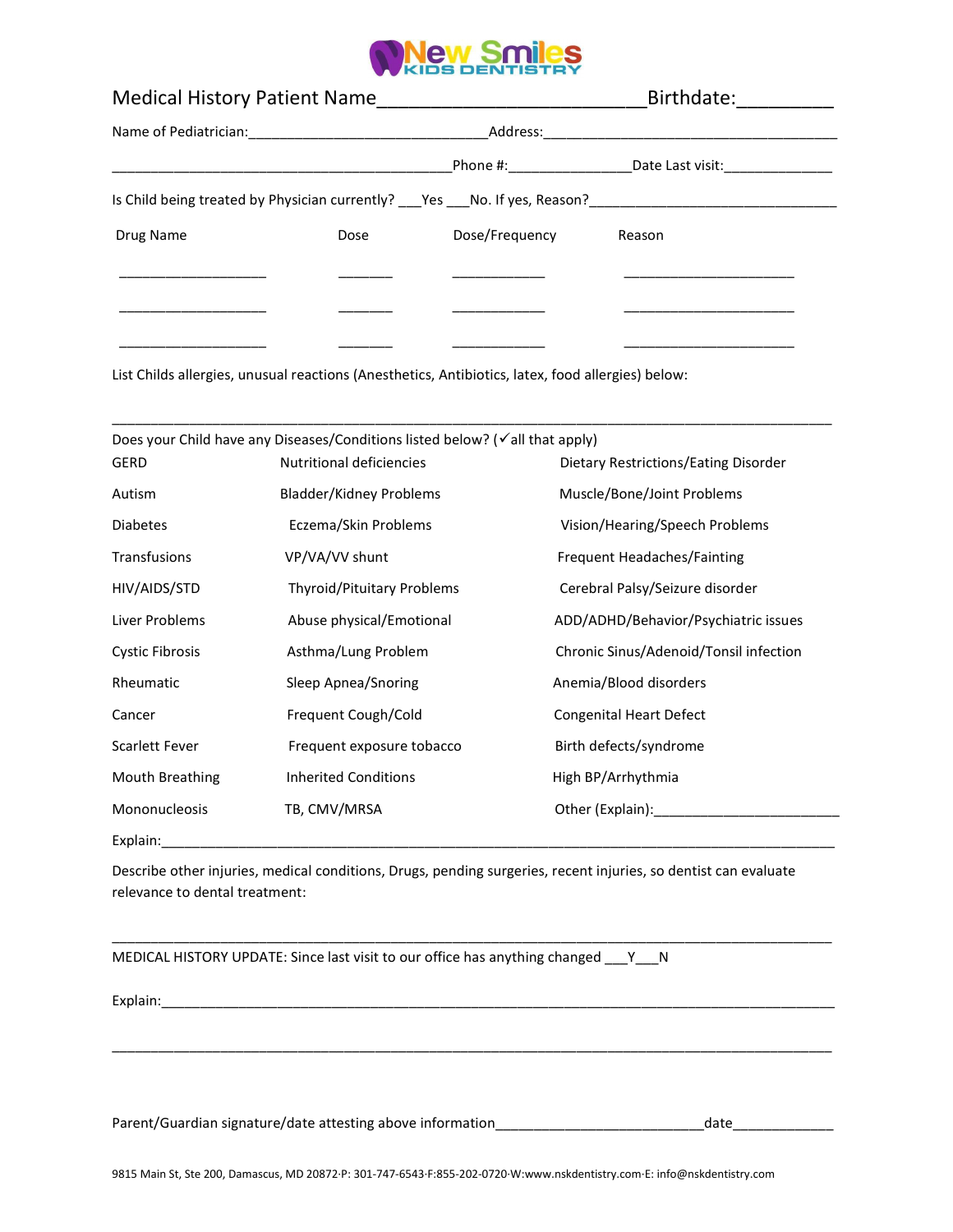

| <b>Medical History Patient Name</b>                                            |      |                       | Birthdate:       |  |
|--------------------------------------------------------------------------------|------|-----------------------|------------------|--|
|                                                                                |      | Address:_____________ |                  |  |
|                                                                                |      |                       | Date Last visit: |  |
| Is Child being treated by Physician currently? ___ Yes ___ No. If yes, Reason? |      |                       |                  |  |
| Drug Name                                                                      | Dose | Dose/Frequency        | Reason           |  |
|                                                                                |      |                       |                  |  |
|                                                                                |      |                       |                  |  |
|                                                                                |      |                       |                  |  |

List Childs allergies, unusual reactions (Anesthetics, Antibiotics, latex, food allergies) below:

|                       | Does your Child have any Diseases/Conditions listed below? (√all that apply) |                                        |
|-----------------------|------------------------------------------------------------------------------|----------------------------------------|
| GERD                  | <b>Nutritional deficiencies</b>                                              | Dietary Restrictions/Eating Disorder   |
| Autism                | Bladder/Kidney Problems                                                      | Muscle/Bone/Joint Problems             |
| <b>Diabetes</b>       | Eczema/Skin Problems                                                         | Vision/Hearing/Speech Problems         |
| Transfusions          | VP/VA/VV shunt                                                               | Frequent Headaches/Fainting            |
| HIV/AIDS/STD          | <b>Thyroid/Pituitary Problems</b>                                            | Cerebral Palsy/Seizure disorder        |
| Liver Problems        | Abuse physical/Emotional                                                     | ADD/ADHD/Behavior/Psychiatric issues   |
| Cystic Fibrosis       | Asthma/Lung Problem                                                          | Chronic Sinus/Adenoid/Tonsil infection |
| Rheumatic             | Sleep Apnea/Snoring                                                          | Anemia/Blood disorders                 |
| Cancer                | Frequent Cough/Cold                                                          | <b>Congenital Heart Defect</b>         |
| <b>Scarlett Fever</b> | Frequent exposure tobacco                                                    | Birth defects/syndrome                 |
| Mouth Breathing       | <b>Inherited Conditions</b>                                                  | High BP/Arrhythmia                     |
| Mononucleosis         | TB, CMV/MRSA                                                                 | Other (Explain):                       |
| Explain:              |                                                                              |                                        |

Describe other injuries, medical conditions, Drugs, pending surgeries, recent injuries, so dentist can evaluate relevance to dental treatment:

\_\_\_\_\_\_\_\_\_\_\_\_\_\_\_\_\_\_\_\_\_\_\_\_\_\_\_\_\_\_\_\_\_\_\_\_\_\_\_\_\_\_\_\_\_\_\_\_\_\_\_\_\_\_\_\_\_\_\_\_\_\_\_\_\_\_\_\_\_\_\_\_\_\_\_\_\_\_\_\_\_\_\_\_\_\_\_\_\_\_\_\_\_

\_\_\_\_\_\_\_\_\_\_\_\_\_\_\_\_\_\_\_\_\_\_\_\_\_\_\_\_\_\_\_\_\_\_\_\_\_\_\_\_\_\_\_\_\_\_\_\_\_\_\_\_\_\_\_\_\_\_\_\_\_\_\_\_\_\_\_\_\_\_\_\_\_\_\_\_\_\_\_\_\_\_\_\_\_\_\_\_\_\_\_\_\_

MEDICAL HISTORY UPDATE: Since last visit to our office has anything changed \_\_\_Y\_\_N

Explain:

Parent/Guardian signature/date attesting above information\_\_\_\_\_\_\_\_\_\_\_\_\_\_\_\_\_\_\_\_\_\_\_\_\_\_\_date\_\_\_\_\_\_\_\_\_\_\_\_\_